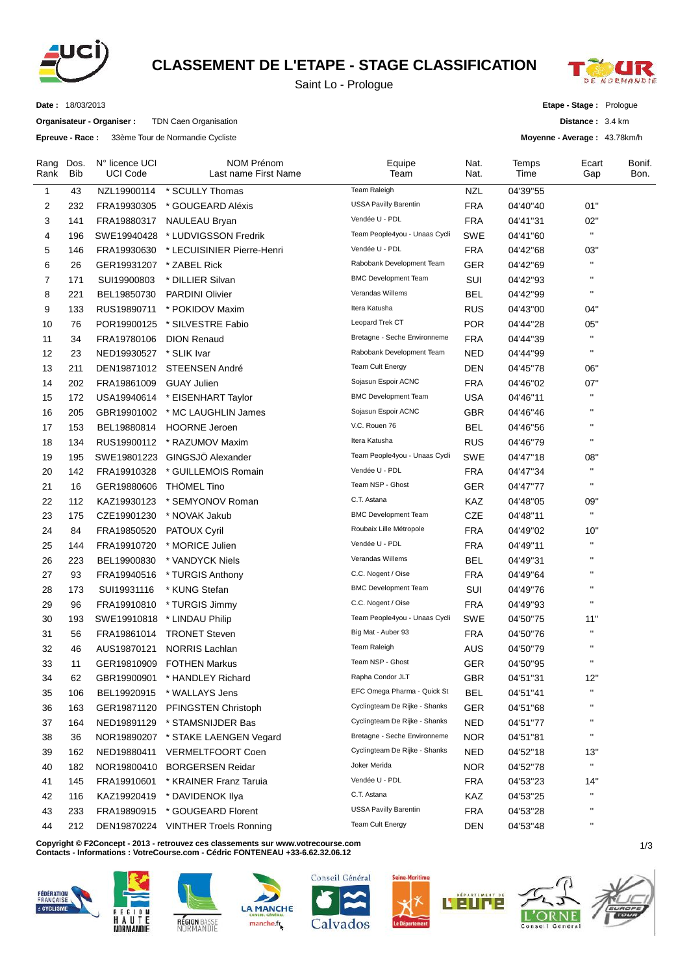

## **CLASSEMENT DE L'ETAPE - STAGE CLASSIFICATION**

Saint Lo - Prologue



**Date :** 18/03/2013

**Organisateur - Organiser :** TDN Caen Organisation

**Epreuve - Race :** 33ème Tour de Normandie Cycliste

**Etape - Stage :** Prologue

**Distance :** 3.4 km

**Moyenne - Average :** 43.78km/h

| Rang<br>Rank   | Dos.<br>Bib | N° licence UCI<br>UCI Code | <b>NOM Prénom</b><br>Last name First Name | Equipe<br>Team                | Nat.<br>Nat. | Temps<br>Time | Ecart<br>Gap              | Bonif.<br>Bon. |
|----------------|-------------|----------------------------|-------------------------------------------|-------------------------------|--------------|---------------|---------------------------|----------------|
| 1              | 43          | NZL19900114                | * SCULLY Thomas                           | <b>Team Raleigh</b>           | <b>NZL</b>   | 04'39"55      |                           |                |
| 2              | 232         | FRA19930305                | * GOUGEARD Aléxis                         | <b>USSA Pavilly Barentin</b>  | <b>FRA</b>   | 04'40"40      | 01"                       |                |
| 3              | 141         | FRA19880317                | <b>NAULEAU Bryan</b>                      | Vendée U - PDL                | <b>FRA</b>   | 04'41"31      | 02"                       |                |
| 4              | 196         | SWE19940428                | * LUDVIGSSON Fredrik                      | Team People4you - Unaas Cycli | SWE          | 04'41"60      | $\mathbf{u}$              |                |
| 5              | 146         | FRA19930630                | * LECUISINIER Pierre-Henri                | Vendée U - PDL                | <b>FRA</b>   | 04'42"68      | 03"                       |                |
| 6              | 26          | GER19931207                | * ZABEL Rick                              | Rabobank Development Team     | <b>GER</b>   | 04'42"69      | $\mathbf{H}$              |                |
| $\overline{7}$ | 171         | SUI19900803                | * DILLIER Silvan                          | <b>BMC Development Team</b>   | SUI          | 04'42"93      | $\mathbf{H}$              |                |
| 8              | 221         | BEL19850730                | <b>PARDINI Olivier</b>                    | Verandas Willems              | <b>BEL</b>   | 04'42"99      | $\mathbf{H}$              |                |
| 9              | 133         | RUS19890711                | * POKIDOV Maxim                           | Itera Katusha                 | <b>RUS</b>   | 04'43"00      | 04"                       |                |
| 10             | 76          | POR19900125                | * SILVESTRE Fabio                         | Leopard Trek CT               | <b>POR</b>   | 04'44"28      | 05"                       |                |
| 11             | 34          | FRA19780106                | <b>DION Renaud</b>                        | Bretagne - Seche Environneme  | <b>FRA</b>   | 04'44"39      | $\mathbf{H}$              |                |
| 12             | 23          | NED19930527                | * SLIK Ivar                               | Rabobank Development Team     | <b>NED</b>   | 04'44"99      | $\pmb{\mathsf{H}}$        |                |
| 13             | 211         | DEN19871012                | STEENSEN André                            | Team Cult Energy              | <b>DEN</b>   | 04'45"78      | 06"                       |                |
| 14             | 202         | FRA19861009                | <b>GUAY Julien</b>                        | Sojasun Espoir ACNC           | <b>FRA</b>   | 04'46"02      | 07"                       |                |
| 15             | 172         | USA19940614                | * EISENHART Taylor                        | <b>BMC Development Team</b>   | <b>USA</b>   | 04'46"11      | $\pmb{\mathsf{u}}$        |                |
| 16             | 205         | GBR19901002                | * MC LAUGHLIN James                       | Sojasun Espoir ACNC           | GBR          | 04'46"46      | $\mathbf{H}$              |                |
| 17             | 153         | BEL19880814                | <b>HOORNE Jeroen</b>                      | V.C. Rouen 76                 | <b>BEL</b>   | 04'46"56      | $\pmb{\mathsf{u}}$        |                |
| 18             | 134         | RUS19900112                | * RAZUMOV Maxim                           | Itera Katusha                 | <b>RUS</b>   | 04'46"79      | $\pmb{\mathsf{H}}$        |                |
| 19             | 195         | SWE19801223                | GINGSJÖ Alexander                         | Team People4you - Unaas Cycli | <b>SWE</b>   | 04'47"18      | 08"                       |                |
| 20             | 142         | FRA19910328                | * GUILLEMOIS Romain                       | Vendée U - PDL                | <b>FRA</b>   | 04'47"34      | $\mathbf{H}$              |                |
| 21             | 16          | GER19880606                | <b>THOMEL Tino</b>                        | Team NSP - Ghost              | <b>GER</b>   | 04'47"77      | $\pmb{\mathsf{u}}$        |                |
| 22             | 112         | KAZ19930123                | * SEMYONOV Roman                          | C.T. Astana                   | KAZ          | 04'48"05      | 09"                       |                |
| 23             | 175         | CZE19901230                | * NOVAK Jakub                             | <b>BMC Development Team</b>   | <b>CZE</b>   | 04'48"11      | $\mathbf{H}$              |                |
| 24             | 84          | FRA19850520                | PATOUX Cyril                              | Roubaix Lille Métropole       | <b>FRA</b>   | 04'49"02      | 10"                       |                |
| 25             | 144         | FRA19910720                | * MORICE Julien                           | Vendée U - PDL                | <b>FRA</b>   | 04'49"11      | $\mathbf{H}$              |                |
| 26             | 223         | BEL19900830                | * VANDYCK Niels                           | Verandas Willems              | <b>BEL</b>   | 04'49"31      | $\pmb{\mathsf{H}}$        |                |
| 27             | 93          | FRA19940516                | * TURGIS Anthony                          | C.C. Nogent / Oise            | <b>FRA</b>   | 04'49"64      | $\mathbf{H}$              |                |
| 28             | 173         | SUI19931116                | * KUNG Stefan                             | <b>BMC Development Team</b>   | SUI          | 04'49"76      | $\mathbf{H}$              |                |
| 29             | 96          | FRA19910810                | * TURGIS Jimmy                            | C.C. Nogent / Oise            | <b>FRA</b>   | 04'49"93      | $\pmb{\mathsf{u}}$        |                |
| 30             | 193         | SWE19910818                | * LINDAU Philip                           | Team People4you - Unaas Cycli | <b>SWE</b>   | 04'50"75      | 11"                       |                |
| 31             | 56          | FRA19861014                | <b>TRONET Steven</b>                      | Big Mat - Auber 93            | <b>FRA</b>   | 04'50"76      | $\pmb{\mathsf{u}}$        |                |
| 32             | 46          | AUS19870121                | <b>NORRIS Lachlan</b>                     | <b>Team Raleigh</b>           | <b>AUS</b>   | 04'50"79      | $\mathbf{H}$              |                |
| 33             | 11          | GER19810909                | <b>FOTHEN Markus</b>                      | Team NSP - Ghost              | <b>GER</b>   | 04'50"95      | $\mathbf{H}$              |                |
| 34             |             | GBR19900901                | * HANDLEY Richard                         | Rapha Condor JLT              | GBR          | 04'51"31      | 12"                       |                |
|                | 62          |                            | * WALLAYS Jens                            | EFC Omega Pharma - Quick St   | <b>BEL</b>   | 04'51"41      | $\pmb{\mathsf{u}}$        |                |
| 35             | 106         | BEL19920915                |                                           | Cyclingteam De Rijke - Shanks | <b>GER</b>   |               | $\blacksquare$            |                |
| 36             | 163         | GER19871120                | PFINGSTEN Christoph                       | Cyclingteam De Rijke - Shanks |              | 04'51"68      | $\pmb{\mathsf{H}}$        |                |
| 37             | 164         | NED19891129                | * STAMSNIJDER Bas                         | Bretagne - Seche Environneme  | <b>NED</b>   | 04'51"77      | $\mathbf{H}$              |                |
| 38             | 36          | NOR19890207                | * STAKE LAENGEN Vegard                    | Cyclingteam De Rijke - Shanks | <b>NOR</b>   | 04'51"81      |                           |                |
| 39             | 162         | NED19880411                | <b>VERMELTFOORT Coen</b>                  | Joker Merida                  | <b>NED</b>   | 04'52"18      | 13"<br>$\mathbf{H}$       |                |
| 40             | 182         | NOR19800410                | <b>BORGERSEN Reidar</b>                   |                               | <b>NOR</b>   | 04'52"78      |                           |                |
| 41             | 145         | FRA19910601                | * KRAINER Franz Taruia                    | Vendée U - PDL                | <b>FRA</b>   | 04'53"23      | 14"<br>$\pmb{\mathsf{u}}$ |                |
| 42             | 116         | KAZ19920419                | * DAVIDENOK IIya                          | C.T. Astana                   | KAZ          | 04'53"25      |                           |                |
| 43             | 233         | FRA19890915                | * GOUGEARD Florent                        | <b>USSA Pavilly Barentin</b>  | <b>FRA</b>   | 04'53"28      | $\pmb{\mathsf{H}}$        |                |
| 44             | 212         |                            | DEN19870224 VINTHER Troels Ronning        | Team Cult Energy              | <b>DEN</b>   | 04'53"48      | $\mathbf{u}$              |                |

**C** 1/3 **opyright © F2Concept - 2013 - retrouvez ces classements sur www.votrecourse.com**

**Contacts - Informations : VotreCourse.com - Cédric FONTENEAU +33-6.62.32.06.12**













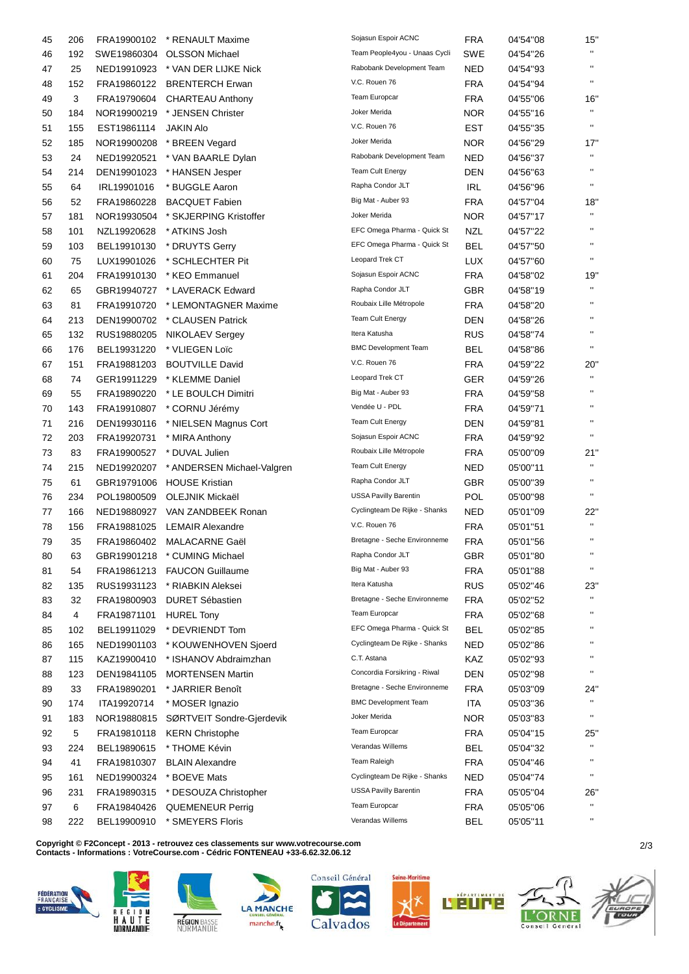| 45       | 206       | FRA19900102                | * RENAULT Maxime                                    | Sojasun Espoir ACNC           | <b>FRA</b> | 04'54"08             | 15"                 |
|----------|-----------|----------------------------|-----------------------------------------------------|-------------------------------|------------|----------------------|---------------------|
| 46       | 192       | SWE19860304                | <b>OLSSON Michael</b>                               | Team People4you - Unaas Cycli | SWE        | 04'54"26             | $\mathbf{H}$        |
| 47       | 25        | NED19910923                | * VAN DER LIJKE Nick                                | Rabobank Development Team     | NED        | 04'54"93             | $\mathbf{H}$        |
| 48       | 152       | FRA19860122                | <b>BRENTERCH Erwan</b>                              | V.C. Rouen 76                 | <b>FRA</b> | 04'54"94             | $\mathbf{H}$        |
| 49       | 3         | FRA19790604                | <b>CHARTEAU Anthony</b>                             | <b>Team Europcar</b>          | <b>FRA</b> | 04'55"06             | 16"                 |
| 50       | 184       | NOR19900219                | * JENSEN Christer                                   | Joker Merida                  | NOR.       | 04'55"16             | $\mathbf{H}$        |
| 51       | 155       | EST19861114                | JAKIN Alo                                           | V.C. Rouen 76                 | EST        | 04'55"35             | $\pmb{\mathsf{H}}$  |
| 52       | 185       | NOR19900208                | * BREEN Vegard                                      | Joker Merida                  | <b>NOR</b> | 04'56"29             | 17"                 |
| 53       | 24        | NED19920521                | * VAN BAARLE Dylan                                  | Rabobank Development Team     | NED        | 04'56"37             |                     |
| 54       | 214       | DEN19901023                | * HANSEN Jesper                                     | <b>Team Cult Energy</b>       | DEN        | 04'56"63             | $\mathbf{H}$        |
| 55       | 64        | IRL19901016                | * BUGGLE Aaron                                      | Rapha Condor JLT              | <b>IRL</b> | 04'56"96             | $\mathbf{H}$        |
| 56       | 52        | FRA19860228                | <b>BACQUET Fabien</b>                               | Big Mat - Auber 93            | <b>FRA</b> | 04'57"04             | 18"                 |
| 57       | 181       | NOR19930504                | * SKJERPING Kristoffer                              | Joker Merida                  | <b>NOR</b> | 04'57"17             | $\mathbf{H}$        |
| 58       | 101       | NZL19920628                | * ATKINS Josh                                       | EFC Omega Pharma - Quick St   | <b>NZL</b> | 04'57"22             | $\mathbf{H}$        |
| 59       | 103       | BEL19910130                | * DRUYTS Gerry                                      | EFC Omega Pharma - Quick St   | BEL        | 04'57"50             | $\mathbf{H}$        |
| 60       | 75        | LUX19901026                | * SCHLECHTER Pit                                    | Leopard Trek CT               | <b>LUX</b> | 04'57"60             | $\pmb{\mathsf{H}}$  |
| 61       | 204       | FRA19910130                | * KEO Emmanuel                                      | Sojasun Espoir ACNC           | <b>FRA</b> | 04'58"02             | 19"                 |
| 62       | 65        | GBR19940727                | * LAVERACK Edward                                   | Rapha Condor JLT              | <b>GBR</b> | 04'58"19             | $\mathbf{H}$        |
| 63       | 81        | FRA19910720                | * LEMONTAGNER Maxime                                | Roubaix Lille Métropole       | <b>FRA</b> | 04'58"20             | $\mathbf{H}$        |
| 64       | 213       | DEN19900702                | * CLAUSEN Patrick                                   | <b>Team Cult Energy</b>       | <b>DEN</b> | 04'58"26             | $\mathbf{H}$        |
| 65       | 132       | RUS19880205                | NIKOLAEV Sergey                                     | Itera Katusha                 | <b>RUS</b> | 04'58"74             | $\mathbf{H}$        |
| 66       | 176       | BEL19931220                | * VLIEGEN Loïc                                      | <b>BMC Development Team</b>   | BEL        | 04'58"86             | $\mathbf{H}$        |
| 67       | 151       | FRA19881203                | <b>BOUTVILLE David</b>                              | V.C. Rouen 76                 | <b>FRA</b> | 04'59"22             | 20"                 |
| 68       | 74        | GER19911229                | * KLEMME Daniel                                     | Leopard Trek CT               | <b>GER</b> | 04'59"26             | $\mathbf{H}$        |
| 69       | 55        | FRA19890220                | * LE BOULCH Dimitri                                 | Big Mat - Auber 93            | <b>FRA</b> | 04'59"58             | $\mathbf{H}$        |
| 70       | 143       | FRA19910807                | * CORNU Jérémy                                      | Vendée U - PDL                | <b>FRA</b> | 04'59"71             | $\mathbf{H}$        |
| 71       | 216       | DEN19930116                | * NIELSEN Magnus Cort                               | <b>Team Cult Energy</b>       | <b>DEN</b> | 04'59"81             | $\mathbf{H}$        |
| 72       | 203       | FRA19920731                | * MIRA Anthony                                      | Sojasun Espoir ACNC           | <b>FRA</b> | 04'59"92             | $\mathbf{H}$        |
| 73       | 83        | FRA19900527                |                                                     | Roubaix Lille Métropole       | <b>FRA</b> |                      | 21"                 |
|          |           |                            | * DUVAL Julien                                      | <b>Team Cult Energy</b>       | <b>NED</b> | 05'00"09             | $\mathbf{H}$        |
| 74<br>75 | 215<br>61 | NED19920207<br>GBR19791006 | * ANDERSEN Michael-Valgren<br><b>HOUSE Kristian</b> | Rapha Condor JLT              | GBR        | 05'00"11<br>05'00"39 | $\mathbf{H}$        |
|          |           | POL19800509                | OLEJNIK Mickaël                                     | <b>USSA Pavilly Barentin</b>  | <b>POL</b> |                      | $\pmb{\mathsf{H}}$  |
| 76       | 234       |                            | VAN ZANDBEEK Ronan                                  | Cyclingteam De Rijke - Shanks |            | 05'00"98             |                     |
| 77       | 166       | NED19880927                |                                                     | V.C. Rouen 76                 | <b>NED</b> | 05'01"09             | 22"<br>$\mathbf{H}$ |
| 78       | 156       | FRA19881025                | <b>LEMAIR Alexandre</b><br><b>MALACARNE Gaël</b>    | Bretagne - Seche Environneme  | <b>FRA</b> | 05'01"51             | $\mathbf{H}$        |
| 79       | 35        | FRA19860402                |                                                     | Rapha Condor JLT              | <b>FRA</b> | 05'01"56             |                     |
| 80       | 63        | GBR19901218                | * CUMING Michael                                    | Big Mat - Auber 93            | GBR        | 05'01"80             | $\mathbf{H}$        |
| 81       | 54        | FRA19861213                | <b>FAUCON Guillaume</b>                             | Itera Katusha                 | <b>FRA</b> | 05'01"88             |                     |
| 82       | 135       | RUS19931123                | * RIABKIN Aleksei                                   | Bretagne - Seche Environneme  | <b>RUS</b> | 05'02"46             | 23"<br>$\mathbf{H}$ |
| 83       | 32        | FRA19800903                | <b>DURET Sébastien</b>                              | Team Europcar                 | <b>FRA</b> | 05'02"52             | $\mathbf{H}$        |
| 84       | 4         | FRA19871101                | <b>HUREL Tony</b>                                   | EFC Omega Pharma - Quick St   | <b>FRA</b> | 05'02"68             | $\pmb{\mathsf{H}}$  |
| 85       | 102       | BEL19911029                | * DEVRIENDT Tom                                     |                               | <b>BEL</b> | 05'02"85             | $\blacksquare$      |
| 86       | 165       | NED19901103                | * KOUWENHOVEN Sjoerd                                | Cyclingteam De Rijke - Shanks | <b>NED</b> | 05'02"86             | $\mathbf{H}$        |
| 87       | 115       | KAZ19900410                | * ISHANOV Abdraimzhan                               | C.T. Astana                   | KAZ        | 05'02"93             | $\pmb{\mathsf{H}}$  |
| 88       | 123       | DEN19841105                | <b>MORTENSEN Martin</b>                             | Concordia Forsikring - Riwal  | <b>DEN</b> | 05'02"98             |                     |
| 89       | 33        | FRA19890201                | * JARRIER Benoît                                    | Bretagne - Seche Environneme  | <b>FRA</b> | 05'03"09             | 24"                 |
| 90       | 174       | ITA19920714                | * MOSER Ignazio                                     | <b>BMC Development Team</b>   | ITA        | 05'03"36             | $\mathbf{H}$        |
| 91       | 183       | NOR19880815                | SØRTVEIT Sondre-Gjerdevik                           | Joker Merida                  | <b>NOR</b> | 05'03"83             |                     |
| 92       | 5         | FRA19810118                | <b>KERN Christophe</b>                              | Team Europcar                 | <b>FRA</b> | 05'04"15             | 25"                 |
| 93       | 224       | BEL19890615                | * THOME Kévin                                       | Verandas Willems              | <b>BEL</b> | 05'04"32             | $\blacksquare$      |
| 94       | 41        | FRA19810307                | <b>BLAIN Alexandre</b>                              | Team Raleigh                  | <b>FRA</b> | 05'04"46             | $\pmb{\mathsf{H}}$  |
| 95       | 161       | NED19900324                | * BOEVE Mats                                        | Cyclingteam De Rijke - Shanks | <b>NED</b> | 05'04"74             | $\mathbf{H}$        |
| 96       | 231       | FRA19890315                | * DESOUZA Christopher                               | <b>USSA Pavilly Barentin</b>  | <b>FRA</b> | 05'05"04             | 26"                 |
| 97       | 6         | FRA19840426                | <b>QUEMENEUR Perrig</b>                             | Team Europcar                 | <b>FRA</b> | 05'05"06             | $\blacksquare$      |
| 98       | 222       | BEL19900910                | * SMEYERS Floris                                    | Verandas Willems              | <b>BEL</b> | 05'05"11             | $\mathbf H$         |

**C** 2/3 **opyright © F2Concept - 2013 - retrouvez ces classements sur www.votrecourse.com Contacts - Informations : VotreCourse.com - Cédric FONTENEAU +33-6.62.32.06.12**